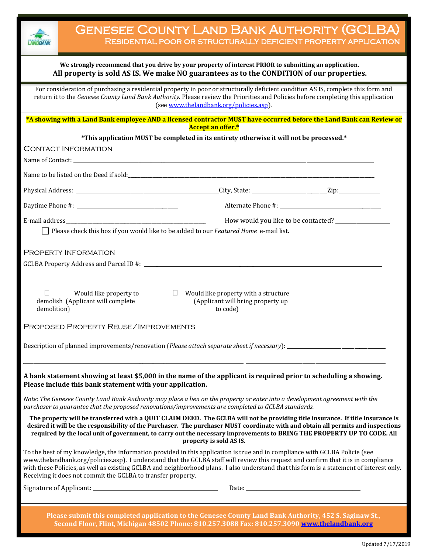

## **We strongly recommend that you drive by your property of interest PRIOR to submitting an application. All property is sold AS IS. We make NO guarantees as to the CONDITION of our properties.**

For consideration of purchasing a residential property in poor or structurally deficient condition AS IS, complete this form and return it to the *Genesee County Land Bank Authority*. Please review the Priorities and Policies before completing this application (se[e www.thelandbank.org/policies.asp\)](http://www.thelandbank.org/policies.asp).

**\*A showing with a Land Bank employee AND a licensed contractor MUST have occurred before the Land Bank can Review or Accept an offer.\***

|                                                                                                                                                                                                                                                                                                                                                                                                                                                                               | *This application MUST be completed in its entirety otherwise it will not be processed.*     |  |
|-------------------------------------------------------------------------------------------------------------------------------------------------------------------------------------------------------------------------------------------------------------------------------------------------------------------------------------------------------------------------------------------------------------------------------------------------------------------------------|----------------------------------------------------------------------------------------------|--|
| <b>CONTACT INFORMATION</b>                                                                                                                                                                                                                                                                                                                                                                                                                                                    |                                                                                              |  |
|                                                                                                                                                                                                                                                                                                                                                                                                                                                                               |                                                                                              |  |
| Name to be listed on the Deed if sold:<br><u> and</u> the set of the details of the set of the set of the set of the set of the set of the set of the set of the set of the set of the set of the set of the set of the set of the se                                                                                                                                                                                                                                         |                                                                                              |  |
|                                                                                                                                                                                                                                                                                                                                                                                                                                                                               |                                                                                              |  |
|                                                                                                                                                                                                                                                                                                                                                                                                                                                                               |                                                                                              |  |
|                                                                                                                                                                                                                                                                                                                                                                                                                                                                               |                                                                                              |  |
| $\Box$ Please check this box if you would like to be added to our Featured Home e-mail list.                                                                                                                                                                                                                                                                                                                                                                                  |                                                                                              |  |
| PROPERTY INFORMATION                                                                                                                                                                                                                                                                                                                                                                                                                                                          |                                                                                              |  |
| Would like property to<br>demolish (Applicant will complete<br>demolition)                                                                                                                                                                                                                                                                                                                                                                                                    | $\Box$ Would like property with a structure<br>(Applicant will bring property up<br>to code) |  |
| PROPOSED PROPERTY REUSE/IMPROVEMENTS                                                                                                                                                                                                                                                                                                                                                                                                                                          |                                                                                              |  |
| Description of planned improvements/renovation (Please attach separate sheet if necessary):                                                                                                                                                                                                                                                                                                                                                                                   |                                                                                              |  |
| A bank statement showing at least \$5,000 in the name of the applicant is required prior to scheduling a showing.<br>Please include this bank statement with your application.                                                                                                                                                                                                                                                                                                |                                                                                              |  |
| Note: The Genesee County Land Bank Authority may place a lien on the property or enter into a development agreement with the<br>purchaser to guarantee that the proposed renovations/improvements are completed to GCLBA standards.                                                                                                                                                                                                                                           |                                                                                              |  |
| The property will be transferred with a QUIT CLAIM DEED. The GCLBA will not be providing title insurance. If title insurance is<br>desired it will be the responsibility of the Purchaser. The purchaser MUST coordinate with and obtain all permits and inspections<br>required by the local unit of government, to carry out the necessary improvements to BRING THE PROPERTY UP TO CODE. All                                                                               | property is sold AS IS.                                                                      |  |
| To the best of my knowledge, the information provided in this application is true and in compliance with GCLBA Policie (see<br>www.thelandbank.org/policies.asp). I understand that the GCLBA staff will review this request and confirm that it is in compliance<br>with these Policies, as well as existing GCLBA and neighborhood plans. I also understand that this form is a statement of interest only.<br>Receiving it does not commit the GCLBA to transfer property. |                                                                                              |  |
|                                                                                                                                                                                                                                                                                                                                                                                                                                                                               | Date:                                                                                        |  |
|                                                                                                                                                                                                                                                                                                                                                                                                                                                                               |                                                                                              |  |
| Please submit this completed application to the Genesee County Land Bank Authority, 452 S. Saginaw St.,                                                                                                                                                                                                                                                                                                                                                                       |                                                                                              |  |
| Second Floor, Flint, Michigan 48502 Phone: 810.257.3088 Fax: 810.257.3090 www.thelandbank.org                                                                                                                                                                                                                                                                                                                                                                                 |                                                                                              |  |